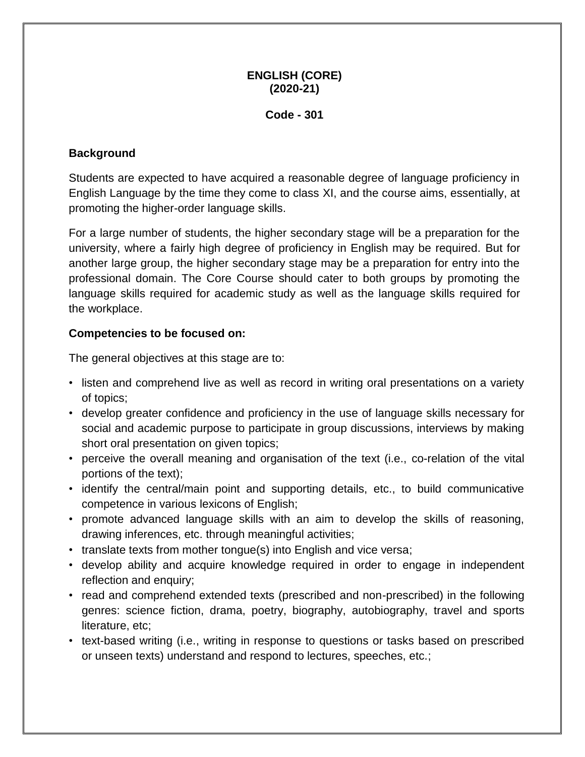#### **ENGLISH (CORE) (2020-21)**

#### **Code - 301**

#### **Background**

Students are expected to have acquired a reasonable degree of language proficiency in English Language by the time they come to class XI, and the course aims, essentially, at promoting the higher-order language skills.

For a large number of students, the higher secondary stage will be a preparation for the university, where a fairly high degree of proficiency in English may be required. But for another large group, the higher secondary stage may be a preparation for entry into the professional domain. The Core Course should cater to both groups by promoting the language skills required for academic study as well as the language skills required for the workplace.

#### **Competencies to be focused on:**

The general objectives at this stage are to:

- listen and comprehend live as well as record in writing oral presentations on a variety of topics;
- develop greater confidence and proficiency in the use of language skills necessary for social and academic purpose to participate in group discussions, interviews by making short oral presentation on given topics;
- perceive the overall meaning and organisation of the text (i.e., co-relation of the vital portions of the text);
- identify the central/main point and supporting details, etc., to build communicative competence in various lexicons of English;
- promote advanced language skills with an aim to develop the skills of reasoning, drawing inferences, etc. through meaningful activities;
- translate texts from mother tongue(s) into English and vice versa;
- develop ability and acquire knowledge required in order to engage in independent reflection and enquiry;
- read and comprehend extended texts (prescribed and non-prescribed) in the following genres: science fiction, drama, poetry, biography, autobiography, travel and sports literature, etc;
- text-based writing (i.e., writing in response to questions or tasks based on prescribed or unseen texts) understand and respond to lectures, speeches, etc.;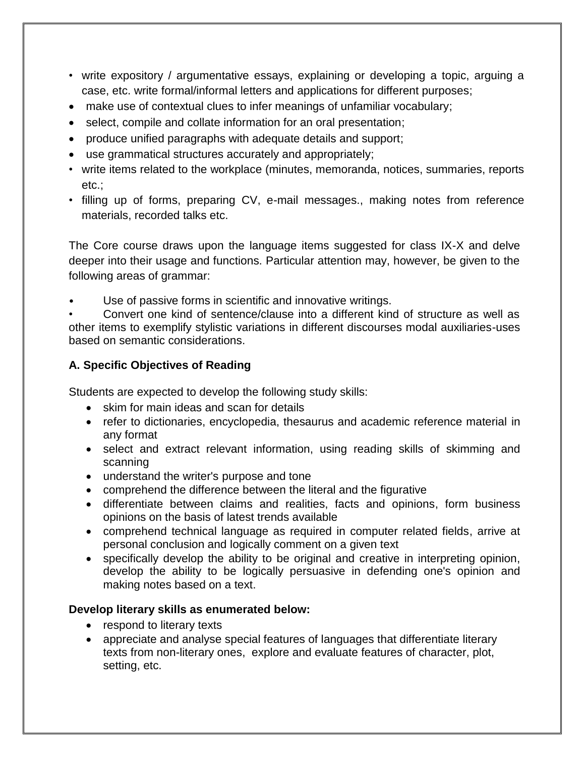- write expository / argumentative essays, explaining or developing a topic, arguing a case, etc. write formal/informal letters and applications for different purposes;
- make use of contextual clues to infer meanings of unfamiliar vocabulary;
- select, compile and collate information for an oral presentation;
- produce unified paragraphs with adequate details and support;
- use grammatical structures accurately and appropriately;
- write items related to the workplace (minutes, memoranda, notices, summaries, reports etc.;
- filling up of forms, preparing CV, e-mail messages., making notes from reference materials, recorded talks etc.

The Core course draws upon the language items suggested for class IX-X and delve deeper into their usage and functions. Particular attention may, however, be given to the following areas of grammar:

Use of passive forms in scientific and innovative writings.

• Convert one kind of sentence/clause into a different kind of structure as well as other items to exemplify stylistic variations in different discourses modal auxiliaries-uses based on semantic considerations.

## **A. Specific Objectives of Reading**

Students are expected to develop the following study skills:

- skim for main ideas and scan for details
- refer to dictionaries, encyclopedia, thesaurus and academic reference material in any format
- select and extract relevant information, using reading skills of skimming and scanning
- understand the writer's purpose and tone
- comprehend the difference between the literal and the figurative
- differentiate between claims and realities, facts and opinions, form business opinions on the basis of latest trends available
- comprehend technical language as required in computer related fields, arrive at personal conclusion and logically comment on a given text
- specifically develop the ability to be original and creative in interpreting opinion, develop the ability to be logically persuasive in defending one's opinion and making notes based on a text.

## **Develop literary skills as enumerated below:**

- respond to literary texts
- appreciate and analyse special features of languages that differentiate literary texts from non-literary ones, explore and evaluate features of character, plot, setting, etc.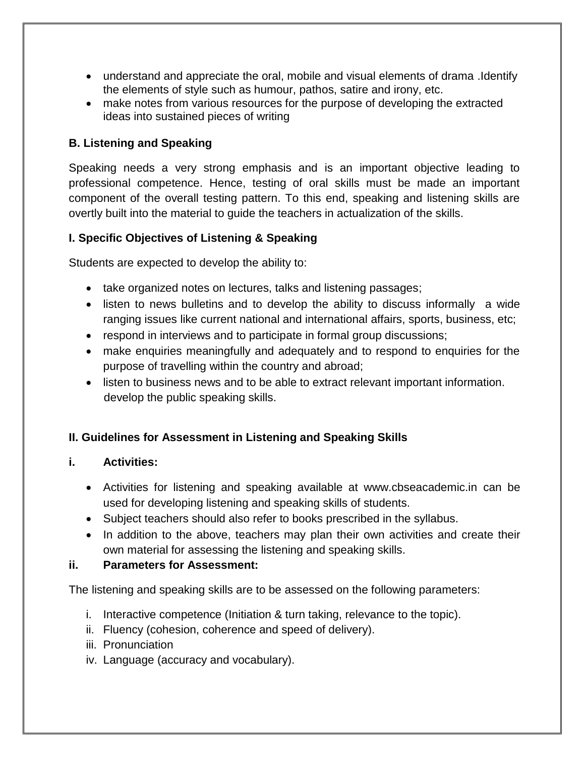- understand and appreciate the oral, mobile and visual elements of drama .Identify the elements of style such as humour, pathos, satire and irony, etc.
- make notes from various resources for the purpose of developing the extracted ideas into sustained pieces of writing

## **B. Listening and Speaking**

Speaking needs a very strong emphasis and is an important objective leading to professional competence. Hence, testing of oral skills must be made an important component of the overall testing pattern. To this end, speaking and listening skills are overtly built into the material to guide the teachers in actualization of the skills.

## **I. Specific Objectives of Listening & Speaking**

Students are expected to develop the ability to:

- take organized notes on lectures, talks and listening passages;
- listen to news bulletins and to develop the ability to discuss informally a wide ranging issues like current national and international affairs, sports, business, etc;
- respond in interviews and to participate in formal group discussions;
- make enquiries meaningfully and adequately and to respond to enquiries for the purpose of travelling within the country and abroad;
- listen to business news and to be able to extract relevant important information. develop the public speaking skills.

## **II. Guidelines for Assessment in Listening and Speaking Skills**

## **i. Activities:**

- Activities for listening and speaking available at www.cbseacademic.in can be used for developing listening and speaking skills of students.
- Subject teachers should also refer to books prescribed in the syllabus.
- In addition to the above, teachers may plan their own activities and create their own material for assessing the listening and speaking skills.

## **ii. Parameters for Assessment:**

The listening and speaking skills are to be assessed on the following parameters:

- i. Interactive competence (Initiation & turn taking, relevance to the topic).
- ii. Fluency (cohesion, coherence and speed of delivery).
- iii. Pronunciation
- iv. Language (accuracy and vocabulary).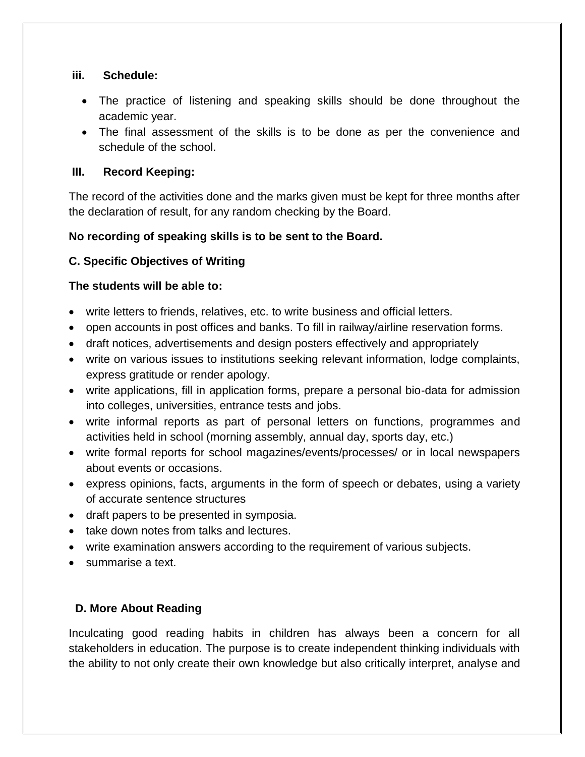#### **iii. Schedule:**

- The practice of listening and speaking skills should be done throughout the academic year.
- The final assessment of the skills is to be done as per the convenience and schedule of the school.

## **III. Record Keeping:**

The record of the activities done and the marks given must be kept for three months after the declaration of result, for any random checking by the Board.

## **No recording of speaking skills is to be sent to the Board.**

## **C. Specific Objectives of Writing**

## **The students will be able to:**

- write letters to friends, relatives, etc. to write business and official letters.
- open accounts in post offices and banks. To fill in railway/airline reservation forms.
- draft notices, advertisements and design posters effectively and appropriately
- write on various issues to institutions seeking relevant information, lodge complaints, express gratitude or render apology.
- write applications, fill in application forms, prepare a personal bio-data for admission into colleges, universities, entrance tests and jobs.
- write informal reports as part of personal letters on functions, programmes and activities held in school (morning assembly, annual day, sports day, etc.)
- write formal reports for school magazines/events/processes/ or in local newspapers about events or occasions.
- express opinions, facts, arguments in the form of speech or debates, using a variety of accurate sentence structures
- draft papers to be presented in symposia.
- take down notes from talks and lectures.
- write examination answers according to the requirement of various subjects.
- summarise a text.

## **D. More About Reading**

Inculcating good reading habits in children has always been a concern for all stakeholders in education. The purpose is to create independent thinking individuals with the ability to not only create their own knowledge but also critically interpret, analyse and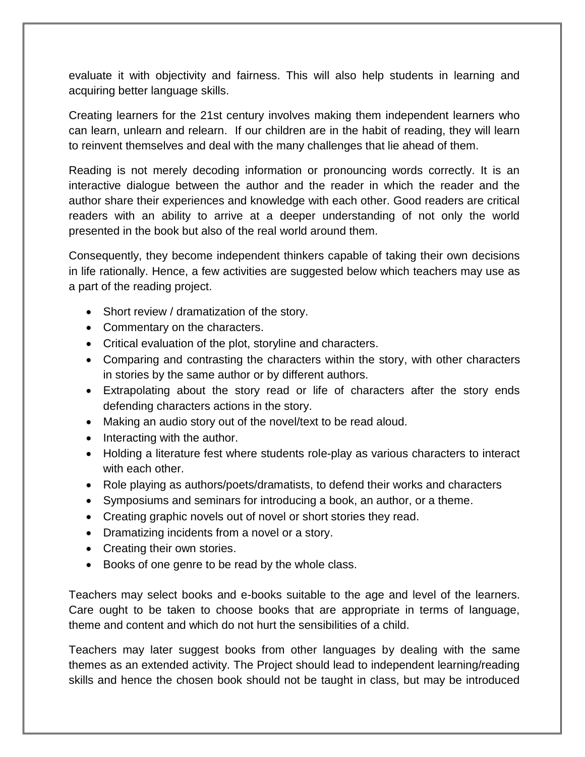evaluate it with objectivity and fairness. This will also help students in learning and acquiring better language skills.

Creating learners for the 21st century involves making them independent learners who can learn, unlearn and relearn. If our children are in the habit of reading, they will learn to reinvent themselves and deal with the many challenges that lie ahead of them.

Reading is not merely decoding information or pronouncing words correctly. It is an interactive dialogue between the author and the reader in which the reader and the author share their experiences and knowledge with each other. Good readers are critical readers with an ability to arrive at a deeper understanding of not only the world presented in the book but also of the real world around them.

Consequently, they become independent thinkers capable of taking their own decisions in life rationally. Hence, a few activities are suggested below which teachers may use as a part of the reading project.

- Short review / dramatization of the story.
- Commentary on the characters.
- Critical evaluation of the plot, storyline and characters.
- Comparing and contrasting the characters within the story, with other characters in stories by the same author or by different authors.
- Extrapolating about the story read or life of characters after the story ends defending characters actions in the story.
- Making an audio story out of the novel/text to be read aloud.
- $\bullet$  Interacting with the author.
- Holding a literature fest where students role-play as various characters to interact with each other.
- Role playing as authors/poets/dramatists, to defend their works and characters
- Symposiums and seminars for introducing a book, an author, or a theme.
- Creating graphic novels out of novel or short stories they read.
- Dramatizing incidents from a novel or a story.
- Creating their own stories.
- Books of one genre to be read by the whole class.

Teachers may select books and e-books suitable to the age and level of the learners. Care ought to be taken to choose books that are appropriate in terms of language, theme and content and which do not hurt the sensibilities of a child.

Teachers may later suggest books from other languages by dealing with the same themes as an extended activity. The Project should lead to independent learning/reading skills and hence the chosen book should not be taught in class, but may be introduced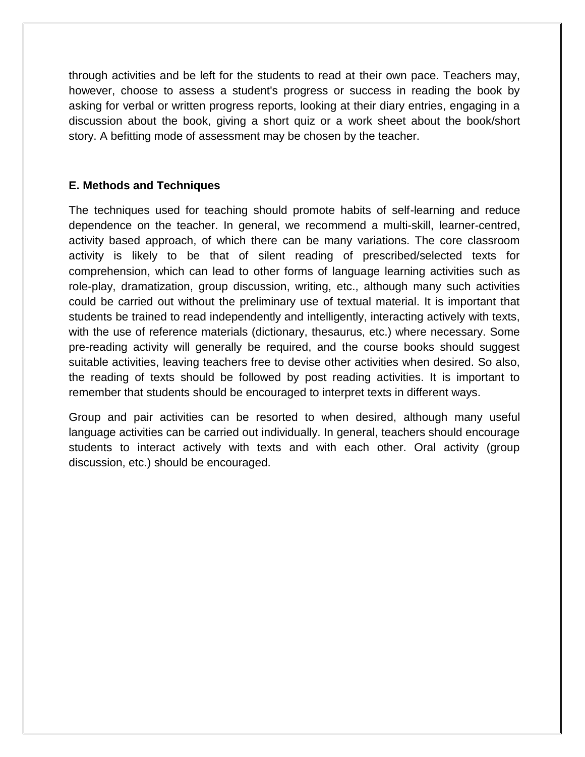through activities and be left for the students to read at their own pace. Teachers may, however, choose to assess a student's progress or success in reading the book by asking for verbal or written progress reports, looking at their diary entries, engaging in a discussion about the book, giving a short quiz or a work sheet about the book/short story. A befitting mode of assessment may be chosen by the teacher.

#### **E. Methods and Techniques**

The techniques used for teaching should promote habits of self-learning and reduce dependence on the teacher. In general, we recommend a multi-skill, learner-centred, activity based approach, of which there can be many variations. The core classroom activity is likely to be that of silent reading of prescribed/selected texts for comprehension, which can lead to other forms of language learning activities such as role-play, dramatization, group discussion, writing, etc., although many such activities could be carried out without the preliminary use of textual material. It is important that students be trained to read independently and intelligently, interacting actively with texts, with the use of reference materials (dictionary, thesaurus, etc.) where necessary. Some pre-reading activity will generally be required, and the course books should suggest suitable activities, leaving teachers free to devise other activities when desired. So also, the reading of texts should be followed by post reading activities. It is important to remember that students should be encouraged to interpret texts in different ways.

Group and pair activities can be resorted to when desired, although many useful language activities can be carried out individually. In general, teachers should encourage students to interact actively with texts and with each other. Oral activity (group discussion, etc.) should be encouraged.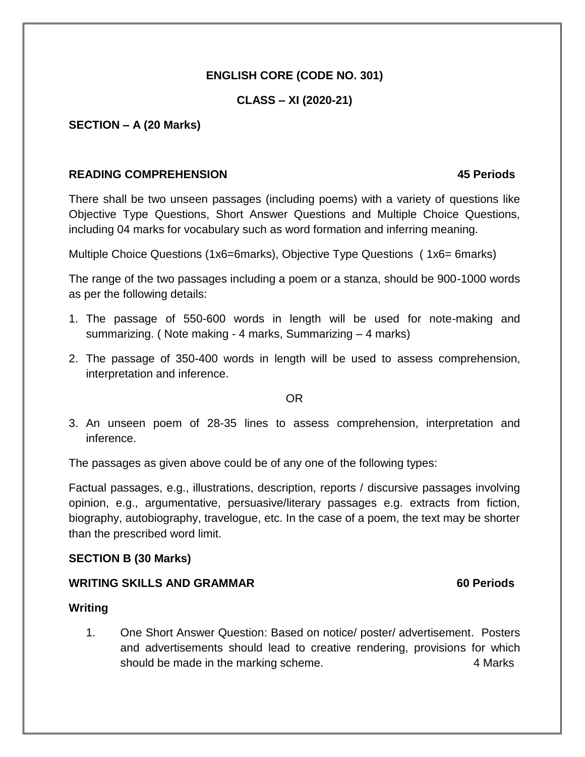### **ENGLISH CORE (CODE NO. 301)**

#### **CLASS – XI (2020-21)**

#### **SECTION – A (20 Marks)**

#### **READING COMPREHENSION 45 Periods**

There shall be two unseen passages (including poems) with a variety of questions like Objective Type Questions, Short Answer Questions and Multiple Choice Questions, including 04 marks for vocabulary such as word formation and inferring meaning.

Multiple Choice Questions (1x6=6marks), Objective Type Questions ( 1x6= 6marks)

The range of the two passages including a poem or a stanza, should be 900-1000 words as per the following details:

- 1. The passage of 550-600 words in length will be used for note-making and summarizing. ( Note making - 4 marks, Summarizing – 4 marks)
- 2. The passage of 350-400 words in length will be used to assess comprehension, interpretation and inference.

#### OR

3. An unseen poem of 28-35 lines to assess comprehension, interpretation and inference.

The passages as given above could be of any one of the following types:

Factual passages, e.g., illustrations, description, reports / discursive passages involving opinion, e.g., argumentative, persuasive/literary passages e.g. extracts from fiction, biography, autobiography, travelogue, etc. In the case of a poem, the text may be shorter than the prescribed word limit.

#### **SECTION B (30 Marks)**

#### **WRITING SKILLS AND GRAMMAR 60 Periods**

#### **Writing**

1. One Short Answer Question: Based on notice/ poster/ advertisement. Posters and advertisements should lead to creative rendering, provisions for which should be made in the marking scheme. A many states of the Marks of the Marks of the Marks of the Marks of the Marks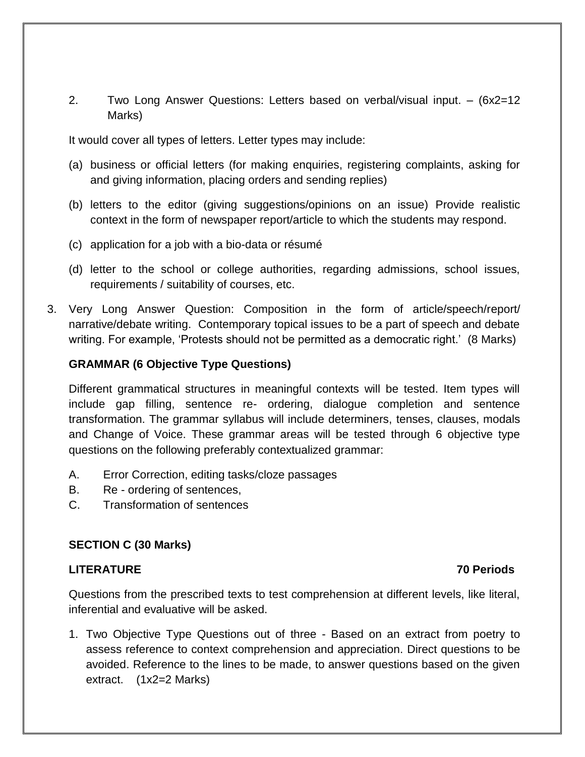2. Two Long Answer Questions: Letters based on verbal/visual input. – (6x2=12 Marks)

It would cover all types of letters. Letter types may include:

- (a) business or official letters (for making enquiries, registering complaints, asking for and giving information, placing orders and sending replies)
- (b) letters to the editor (giving suggestions/opinions on an issue) Provide realistic context in the form of newspaper report/article to which the students may respond.
- (c) application for a job with a bio-data or résumé
- (d) letter to the school or college authorities, regarding admissions, school issues, requirements / suitability of courses, etc.
- 3. Very Long Answer Question: Composition in the form of article/speech/report/ narrative/debate writing. Contemporary topical issues to be a part of speech and debate writing. For example, 'Protests should not be permitted as a democratic right.' (8 Marks)

#### **GRAMMAR (6 Objective Type Questions)**

Different grammatical structures in meaningful contexts will be tested. Item types will include gap filling, sentence re- ordering, dialogue completion and sentence transformation. The grammar syllabus will include determiners, tenses, clauses, modals and Change of Voice. These grammar areas will be tested through 6 objective type questions on the following preferably contextualized grammar:

- A. Error Correction, editing tasks/cloze passages
- B. Re ordering of sentences,
- C. Transformation of sentences

#### **SECTION C (30 Marks)**

#### **LITERATURE 70 Periods**

Questions from the prescribed texts to test comprehension at different levels, like literal, inferential and evaluative will be asked.

1. Two Objective Type Questions out of three - Based on an extract from poetry to assess reference to context comprehension and appreciation. Direct questions to be avoided. Reference to the lines to be made, to answer questions based on the given extract. (1x2=2 Marks)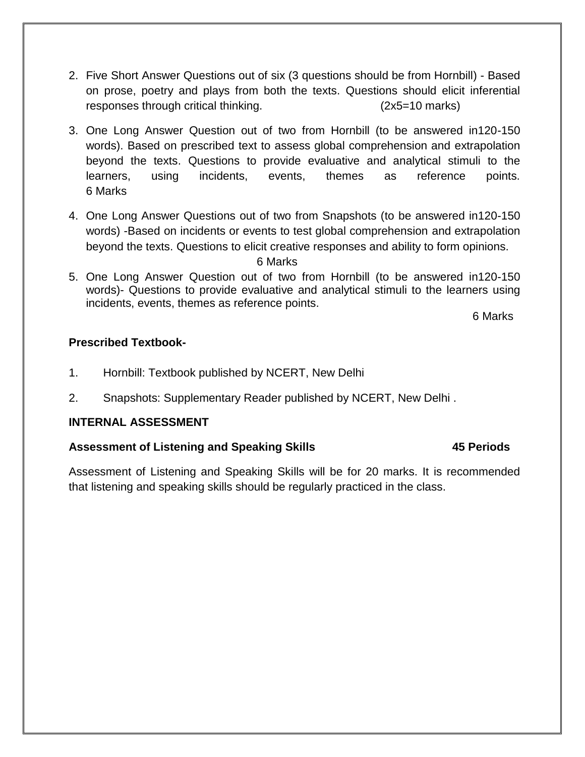- 2. Five Short Answer Questions out of six (3 questions should be from Hornbill) Based on prose, poetry and plays from both the texts. Questions should elicit inferential responses through critical thinking. (2x5=10 marks)
- 3. One Long Answer Question out of two from Hornbill (to be answered in120-150 words). Based on prescribed text to assess global comprehension and extrapolation beyond the texts. Questions to provide evaluative and analytical stimuli to the learners, using incidents, events, themes as reference points. 6 Marks
- 4. One Long Answer Questions out of two from Snapshots (to be answered in120-150 words) -Based on incidents or events to test global comprehension and extrapolation beyond the texts. Questions to elicit creative responses and ability to form opinions.

#### 6 Marks

5. One Long Answer Question out of two from Hornbill (to be answered in120-150 words)- Questions to provide evaluative and analytical stimuli to the learners using incidents, events, themes as reference points.

6 Marks

#### **Prescribed Textbook-**

- 1. Hornbill: Textbook published by NCERT, New Delhi
- 2. Snapshots: Supplementary Reader published by NCERT, New Delhi .

#### **INTERNAL ASSESSMENT**

#### Assessment of Listening and Speaking Skills **45 Periods**

Assessment of Listening and Speaking Skills will be for 20 marks. It is recommended that listening and speaking skills should be regularly practiced in the class.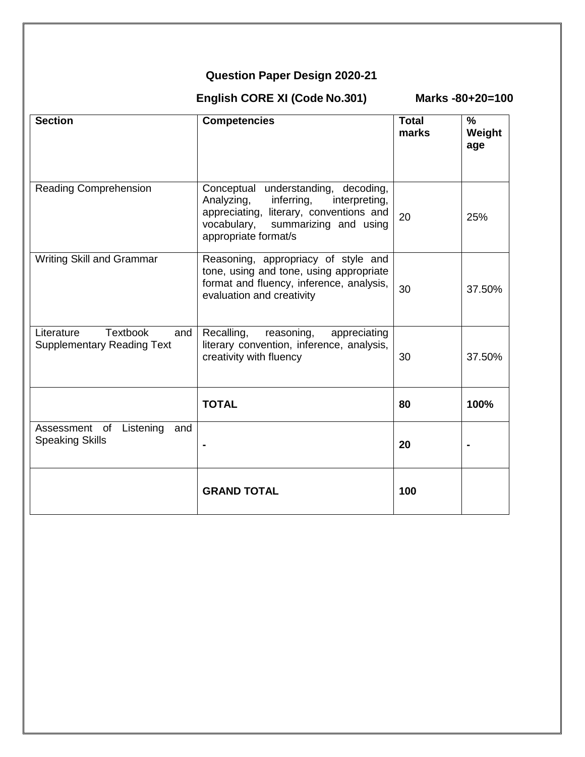# **Question Paper Design 2020-21**

 **English CORE XI (Code No.301) Marks -80+20=100**

| <b>Section</b>                                                            | <b>Competencies</b>                                                                                                                                                                            | <b>Total</b><br>marks | $\frac{9}{6}$<br>Weight<br>age |
|---------------------------------------------------------------------------|------------------------------------------------------------------------------------------------------------------------------------------------------------------------------------------------|-----------------------|--------------------------------|
| <b>Reading Comprehension</b>                                              | Conceptual understanding,<br>decoding,<br>Analyzing,<br>inferring,<br>interpreting,<br>appreciating, literary, conventions and<br>vocabulary,<br>summarizing and using<br>appropriate format/s | 20                    | 25%                            |
| <b>Writing Skill and Grammar</b>                                          | Reasoning, appropriacy of style and<br>tone, using and tone, using appropriate<br>format and fluency, inference, analysis,<br>evaluation and creativity                                        | 30                    | 37.50%                         |
| <b>Textbook</b><br>Literature<br>and<br><b>Supplementary Reading Text</b> | Recalling,<br>reasoning,<br>appreciating<br>literary convention, inference, analysis,<br>creativity with fluency                                                                               | 30                    | 37.50%                         |
|                                                                           | <b>TOTAL</b>                                                                                                                                                                                   | 80                    | 100%                           |
| Assessment of<br>Listening<br>and<br><b>Speaking Skills</b>               |                                                                                                                                                                                                | 20                    |                                |
|                                                                           | <b>GRAND TOTAL</b>                                                                                                                                                                             | 100                   |                                |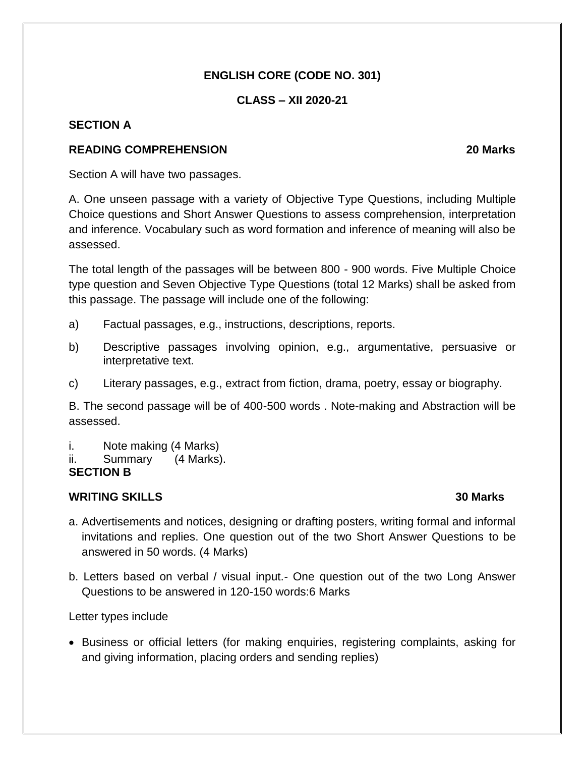## **ENGLISH CORE (CODE NO. 301)**

#### **CLASS – XII 2020-21**

#### **SECTION A**

#### **READING COMPREHENSION 20 Marks**

Section A will have two passages.

A. One unseen passage with a variety of Objective Type Questions, including Multiple Choice questions and Short Answer Questions to assess comprehension, interpretation and inference. Vocabulary such as word formation and inference of meaning will also be assessed.

The total length of the passages will be between 800 - 900 words. Five Multiple Choice type question and Seven Objective Type Questions (total 12 Marks) shall be asked from this passage. The passage will include one of the following:

- a) Factual passages, e.g., instructions, descriptions, reports.
- b) Descriptive passages involving opinion, e.g., argumentative, persuasive or interpretative text.
- c) Literary passages, e.g., extract from fiction, drama, poetry, essay or biography.

B. The second passage will be of 400-500 words . Note-making and Abstraction will be assessed.

- i. Note making (4 Marks)
- ii. Summary (4 Marks).

**SECTION B**

## **WRITING SKILLS 30 Marks**

- a. Advertisements and notices, designing or drafting posters, writing formal and informal invitations and replies. One question out of the two Short Answer Questions to be answered in 50 words. (4 Marks)
- b. Letters based on verbal / visual input.- One question out of the two Long Answer Questions to be answered in 120-150 words:6 Marks

#### Letter types include

• Business or official letters (for making enquiries, registering complaints, asking for and giving information, placing orders and sending replies)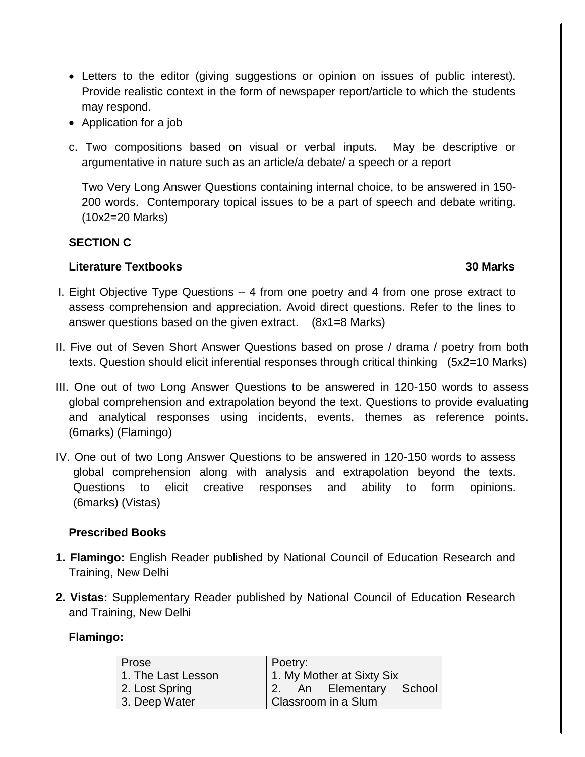- Letters to the editor (giving suggestions or opinion on issues of public interest). Provide realistic context in the form of newspaper report/article to which the students may respond.
- Application for a job
- c. Two compositions based on visual or verbal inputs. May be descriptive or argumentative in nature such as an article/a debate/ a speech or a report

Two Very Long Answer Questions containing internal choice, to be answered in 150- 200 words. Contemporary topical issues to be a part of speech and debate writing. (10x2=20 Marks)

#### **SECTION C**

#### **Literature Textbooks 30 Marks**

- I. Eight Objective Type Questions 4 from one poetry and 4 from one prose extract to assess comprehension and appreciation. Avoid direct questions. Refer to the lines to answer questions based on the given extract. (8x1=8 Marks)
- II. Five out of Seven Short Answer Questions based on prose / drama / poetry from both texts. Question should elicit inferential responses through critical thinking (5x2=10 Marks)
- III. One out of two Long Answer Questions to be answered in 120-150 words to assess global comprehension and extrapolation beyond the text. Questions to provide evaluating and analytical responses using incidents, events, themes as reference points. (6marks) (Flamingo)
- IV. One out of two Long Answer Questions to be answered in 120-150 words to assess global comprehension along with analysis and extrapolation beyond the texts. Questions to elicit creative responses and ability to form opinions. (6marks) (Vistas)

## **Prescribed Books**

- 1**. Flamingo:** English Reader published by National Council of Education Research and Training, New Delhi
- **2. Vistas:** Supplementary Reader published by National Council of Education Research and Training, New Delhi

#### **Flamingo:**

| I Prose            | Poetry:                   |  |  |
|--------------------|---------------------------|--|--|
| 1. The Last Lesson | 1. My Mother at Sixty Six |  |  |
| 2. Lost Spring     | 2. An Elementary School   |  |  |
| 3. Deep Water      | Classroom in a Slum       |  |  |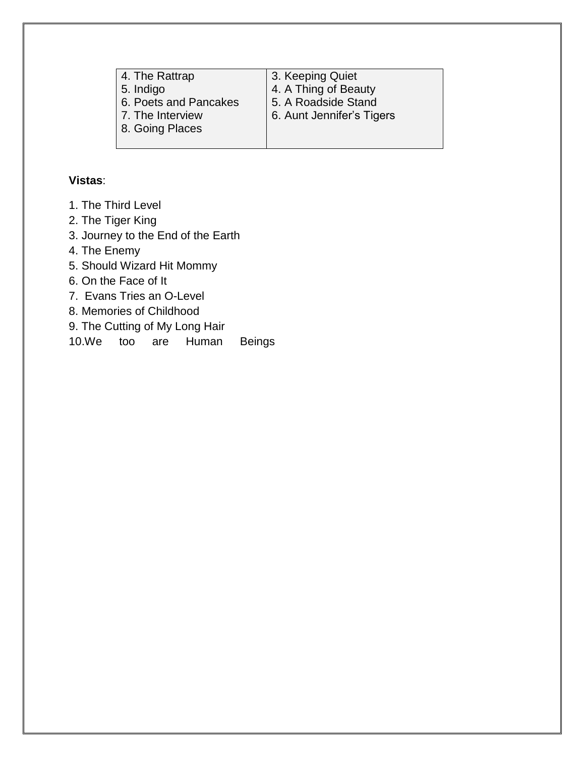| 4. The Rattrap        | 3. Keeping Quiet          |
|-----------------------|---------------------------|
| 5. Indigo             | 4. A Thing of Beauty      |
| 6. Poets and Pancakes | 5. A Roadside Stand       |
| 7. The Interview      | 6. Aunt Jennifer's Tigers |
| 8. Going Places       |                           |
|                       |                           |

## **Vistas**:

- 1. The Third Level
- 2. The Tiger King
- 3. Journey to the End of the Earth
- 4. The Enemy
- 5. Should Wizard Hit Mommy
- 6. On the Face of It
- 7. Evans Tries an O-Level
- 8. Memories of Childhood
- 9. The Cutting of My Long Hair

10.We too are Human Beings